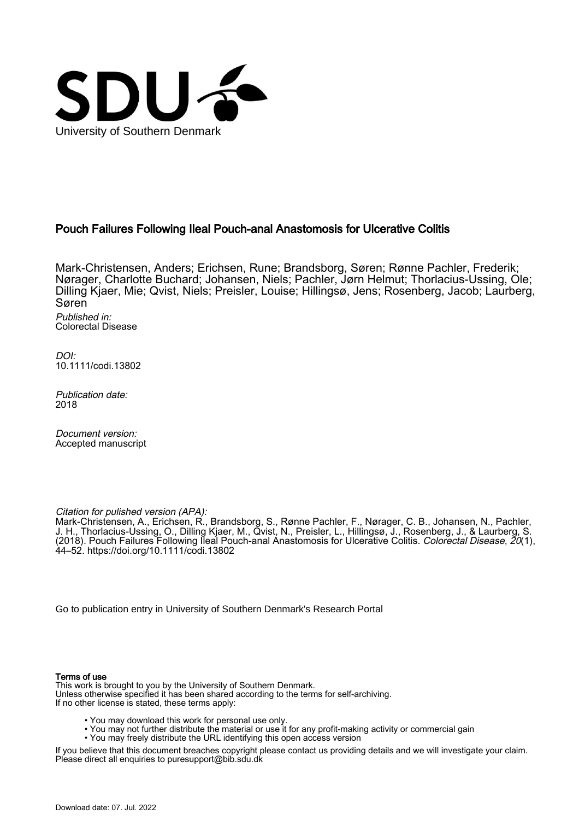

## Pouch Failures Following Ileal Pouch-anal Anastomosis for Ulcerative Colitis

Mark-Christensen, Anders; Erichsen, Rune; Brandsborg, Søren; Rønne Pachler, Frederik; Nørager, Charlotte Buchard; Johansen, Niels; Pachler, Jørn Helmut; Thorlacius-Ussing, Ole; Dilling Kjaer, Mie; Qvist, Niels; Preisler, Louise; Hillingsø, Jens; Rosenberg, Jacob; Laurberg, Søren

Published in: Colorectal Disease

DOI: [10.1111/codi.13802](https://doi.org/10.1111/codi.13802)

Publication date: 2018

Document version: Accepted manuscript

Citation for pulished version (APA):

Mark-Christensen, A., Erichsen, R., Brandsborg, S., Rønne Pachler, F., Nørager, C. B., Johansen, N., Pachler, J. H., Thorlacius-Ussing, O., Dilling Kjaer, M., Qvist, N., Preisler, L., Hillingsø, J., Rosenberg, J., & Laurberg, S. (2018). Pouch Failures Following Ileal Pouch-anal Anastomosis for Ulcerative Colitis. Colorectal Disease, 20(1), 44–52. <https://doi.org/10.1111/codi.13802>

[Go to publication entry in University of Southern Denmark's Research Portal](https://portal.findresearcher.sdu.dk/en/publications/ff92fa46-d2fb-4b86-a535-7514037ee8a3)

#### Terms of use

This work is brought to you by the University of Southern Denmark. Unless otherwise specified it has been shared according to the terms for self-archiving. If no other license is stated, these terms apply:

- You may download this work for personal use only.
- You may not further distribute the material or use it for any profit-making activity or commercial gain
- You may freely distribute the URL identifying this open access version

If you believe that this document breaches copyright please contact us providing details and we will investigate your claim. Please direct all enquiries to puresupport@bib.sdu.dk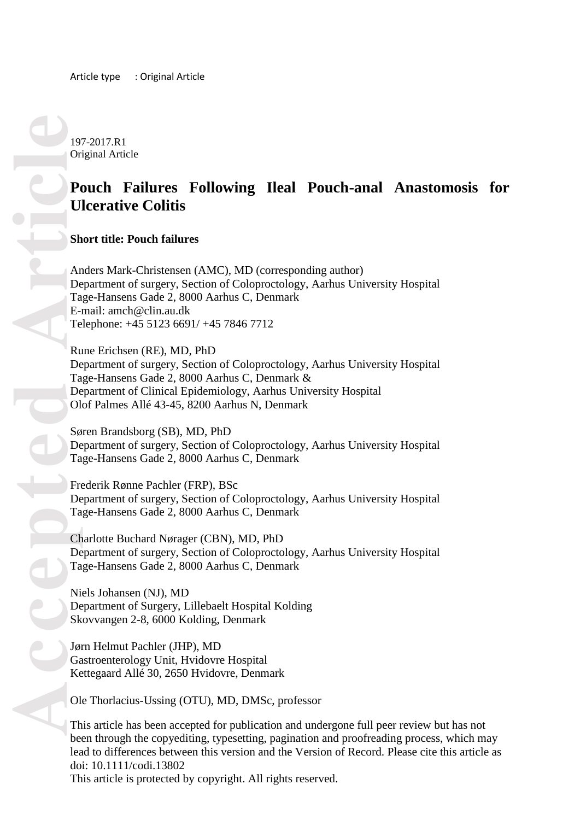197 -2017.R1 Original Article

# **Pouch Failures Following Ileal Pouch -anal Anastomosis for Ulcerative Colitis**

**Short title: Pouch failures**

Anders Mark -Christensen (AMC), MD (corresponding author) Department of surgery, Section of Coloproctology, Aarhus University Hospital Tage -Hansens Gade 2, 8000 Aarhus C, Denmark E -mail: [amch@clin.au.dk](mailto:amch@clin.au.dk) Telephone: +45 5123 6691/ +45 7846 7712

Rune Erichsen (RE), MD, PhD Department of surgery, Section of Coloproctology, Aarhus University Hospital Tage -Hansens Gade 2, 8000 Aarhus C, Denmark & Department of Clinical Epidemiology, Aarhus University Hospital Olof Palmes Allé 43 -45, 8200 Aarhus N, Denmark

Søren Brandsborg (SB), MD, PhD Department of surgery, Section of Coloproctology, Aarhus University Hospital Tage -Hansens Gade 2, 8000 Aarhus C, Denmark

Frederik Rønne Pachler (FRP), BSc Department of surgery, Section of Coloproctology, Aarhus University Hospital Tage -Hansens Gade 2, 8000 Aarhus C, Denmark

Charlotte Buchard Nørager (CBN), MD, PhD Department of surgery, Section of Coloproctology, Aarhus University Hospital Tage -Hansens Gade 2, 8000 Aarhus C, Denmark

Niels Johansen (NJ), MD Department of Surgery, Lillebaelt Hospital Kolding Skovvangen 2 -8, 6000 Kolding, Denmark

Jørn Helmut Pachler (JHP), MD Gastroenterology Unit, Hvidovre Hospital Kettegaard Allé 30, 2650 Hvidovre, Denmark

Ole Thorlacius -Ussing (OTU), MD, DMSc, professor

This article has been accepted for publication and undergone full peer review but has not been through the copyediting, typesetting, pagination and proofreading process, which may lead to differences between this version and the Version of Record. Please cite this article as doi: 10.1111/codi.13802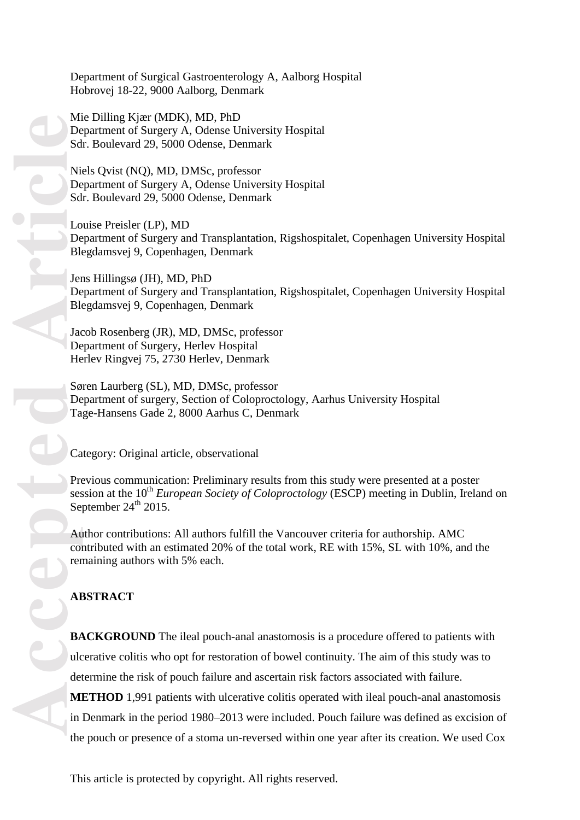Department of Surgical Gastroenterology A, Aalborg Hospital Hobrovej 18 -22, 9000 Aalborg, Denmark

Mie Dilling Kjær (MDK), MD, PhD Department of Surgery A, Odense University Hospital Sdr. Boulevard 29, 5000 Odense, Denmark

Niels Qvist (NQ), MD, DMSc, professor Department of Surgery A, Odense University Hospital Sdr. Boulevard 29, 5000 Odense, Denmark

Louise Preisler (LP), MD Department of Surgery and Transplantation, Rigshospitalet, Copenhagen University Hospital Blegdamsvej 9, Copenhagen, Denmark

Jens Hillingsø (JH), MD, PhD Department of Surgery and Transplantation, Rigshospitalet, Copenhagen University Hospital Blegdamsvej 9, Copenhagen, Denmark

Jacob Rosenberg (JR), MD, DMSc, professor Department of Surgery, Herlev Hospital Herlev Ringvej 75, 2730 Herlev, Denmark

Søren Laurberg (SL), MD, DMSc, professor Department of surgery, Section of Coloproctology, Aarhus University Hospital Tage -Hansens Gade 2, 8000 Aarhus C, Denmark

Category: Original article, observational

Previous communication: Prelimi nary results from this study were presented at a poster session at the 10<sup>th</sup> *European Society of Coloproctology* (ESCP) meeting in Dublin, Ireland on September  $24<sup>th</sup>$  2015.

Author contributions: All authors fulfill the Vancouver criteria for authorship. AMC contributed with an estimated 20% of the total work, RE with 15%, SL with 10%, and the remaining authors with 5% each.

## **ABSTRACT**

**Accepted Article BACKGROUND** The ileal pouch-anal anastomosis is a procedure offered to patients with ulcerative colitis who opt for restoration of bowel continuity. The aim of this study was to determine the risk of pouch failure and ascertain risk factors associated with failure. **METHOD** 1,991 patients with ulcerative colitis operated with ileal pouch-anal anastomosis in Denmark in the period 1980 –2013 were included. Pouch failure was defined as excision of the pouch or presence of a stoma un -reversed within one year after its creation. We used Cox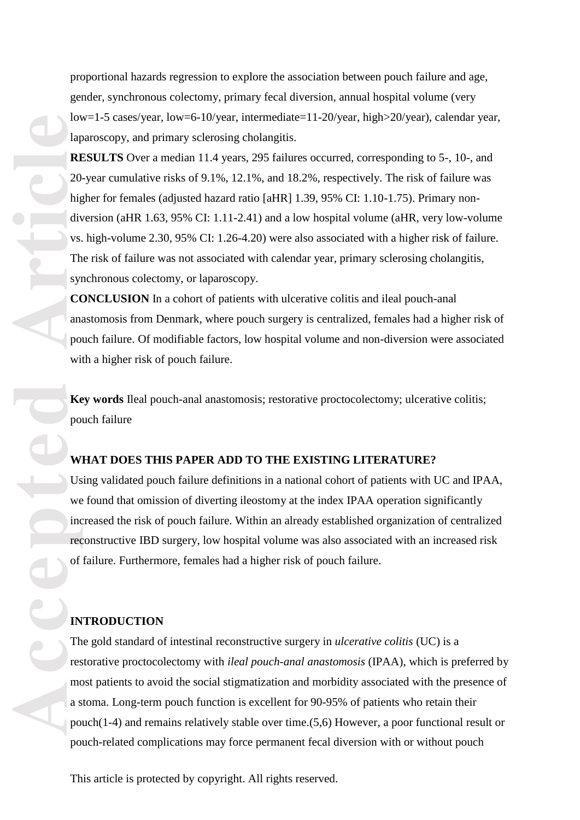proportional hazards regression to explore the association between pouch failure and age, gender, synchronous colectomy, primary fecal diversion, annual hospital volume (very low=1 -5 cases/year, low=6 -10/year, intermediate=11 -20/year, high>20/year), calendar year, laparoscopy, and primary sclerosing cholangitis.

**RESULTS** Over a median 11.4 years, 295 failures occurred, corresponding to 5-, 10-, and 20 -year cumulative risks of 9.1%, 12.1%, and 18.2%, respectively. The risk of failure was higher for females (adjusted hazard ratio [aHR] 1.39, 95% CI: 1.10-1.75). Primary nondiversion (aHR 1.63, 95% CI: 1.11 -2.41) and a low hospital volume (aHR, very low -volume vs. high -volume 2.30, 95% CI: 1.26 -4.20) were also associated with a higher risk of failure. The risk of failure was not associated with calendar year, primary sclerosing cholangitis, synchronous colectomy, or laparoscopy.

**CONCLUSION** In a cohort of patients with ulcerative colitis and ileal pouch -anal anastomosis from Denmark, where pouch surgery is centralized, females had a higher risk of pouch failure. Of modifiable factors, low hospital volume and non -diversion were associated with a higher risk of pouch failure.

**Key words** Ileal pouch -anal anastomosis; restorative proctocolectomy; ulcerative colitis; pouch failure

## **WHAT DOES THIS PAPER ADD TO THE EXISTING LITERATURE?**

Using validated pouch failure definitions in a national cohort of patients with UC and IPAA, we found that omission of diverting ileostomy at the index IPAA operation significantly increased the risk of pouch failure. Within an already established organization of centralized reconstructive IBD surgery, low hospital volume was also associated with an increased risk of failure. Furthermore, females had a higher risk of pouch failure.

#### **INTRODUCTION**

The gold standard of intestinal reconstructive surgery in *ulcerative colitis* (UC) is a restorative proctocolectomy with *ileal pouch-anal anastomosis* (IPAA), which is preferred by most patients to avoid the social stigmatization and morbidity associated with the presence of a stoma. Long -term pouch function is excellent for 90 -95% of patients who retain their pouch(1 -4) and remains relatively stable over time .(5,6) However, a poor functional result or pouch -related complications may force permanent fecal diversion with or without pouch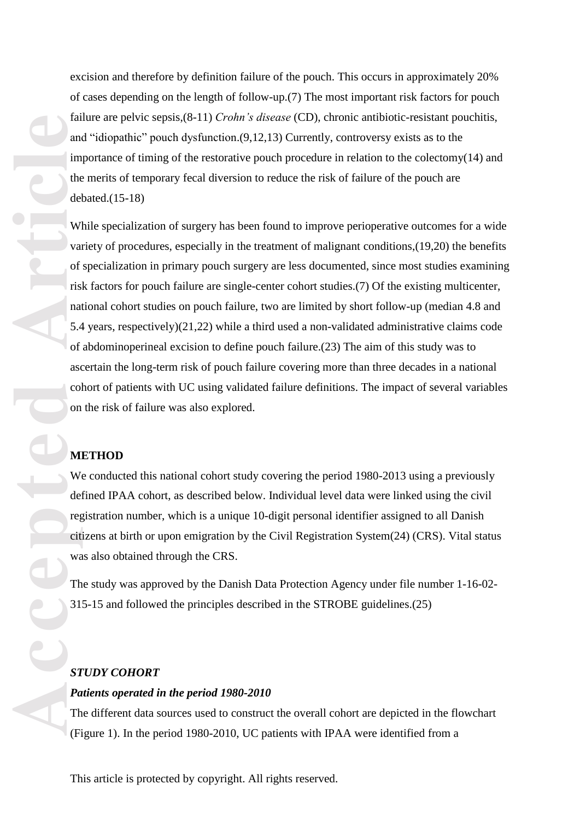excision and therefore by definition failure of the pouch. This occurs in approximately 20% of cases depending on the length of follow -up .(7) The most important risk factors for pouch failure are pelvic sepsis, (8-11) *Crohn's disease* (CD), chronic antibiotic-resistant pouchitis, and "idiopathic" pouch dysfunction .(9,12,13) Currently, controversy exists as to the importance of timing of the restorative pouch procedure in relation to the colectomy(14) and the merits of temporary fecal diversion to reduce the risk of failure of the pouch are debated .(15 -18)

Tarticles and the del with the del with the del with the del with the del with the del with the state of the state of the cit was the cit was the state of the state of the state of the state of the state of the state of th While specialization of surgery has been found to improve perioperative outcome s for a wide variety of procedures, especially in the treatment of malignant conditions ,(19,20) the benefits of specialization in primary pouch surgery are less documented, since most studies examining risk factors for pouch failure are single -center cohort studies .(7) Of the existing multicenter, national cohort studies on pouch failure, two are limited by short follow -up (median 4.8 and 5.4 years, respectively )(21,22) while a third use d a non -validated administrative claims code of abdominoperineal excision to define pouch failure.(23) The aim of this study was to ascertain the long -term risk of pouch failure covering more than three decades in a national cohort of patients with UC using validated failure definitions. The impact of several variables on the risk of failure was also explored.

## **METHOD**

We conducted this national cohort study covering the period 1980-2013 using a previously defined IPAA cohort, as described below. Individual level data were linked using the civil registration number, which is a unique 10-digit personal identifier assigned to all Danish citizens at birth or upon emigration by the Civil Registration System(24) (CRS) . Vital status was also obtained through the CRS.

The study was approved by the Danish Data Protection Agency under file number 1-16-02-315 -15 and followed the principles described in the STROBE guideline s .(25)

## *STUDY COHORT*

## *Patients operated in the period 1980 -2010*

The different data sources used to construct the overall cohort are depicted in the flowchart (Figure 1). In the period 1980 -2010, UC patients with IPAA were identified from a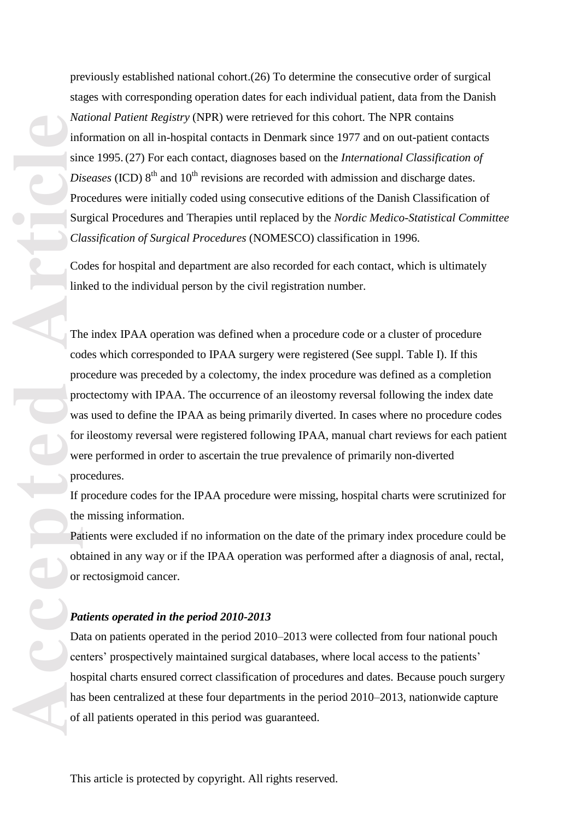previously established national cohort .(26) To determine the consecutive order of surgical stages with corresponding operation dates for each individual patient, data from the Danish *National Patient Registry* (NPR ) were retrieved for this cohort. The NPR contains information on all in-hospital contacts in Denmark since 1977 and on out-patient contacts since 1995. (27) For each contact, diagnoses based on the *International Classification of Diseases* (ICD)  $8<sup>th</sup>$  and  $10<sup>th</sup>$  revisions are recorded with admission and discharge dates. Procedures were initially coded using consecutive editions of the Danish Classification of Surgical Procedures and Therapies until replaced by the *Nordic Medico -Statistical Committee Classification of Surgical Procedures* (NOMESCO) classification in 1996.

Codes for hospital and department are also recorded for each contact, which is ultimately linked to the individual person by the civil registration number.

The index IPAA operation was defined when a procedure code or a cluster of procedure codes which corresponded to IPAA surgery were registered (See suppl. Table I). If this procedure was preceded by a colectomy, the index procedure was defined as a completion proctectomy with IPAA. The occurrence of an ileostomy reversal following the index date was used to define the IPAA as being primarily diverted. In cases where no procedure codes for ileostomy reversal were registered following IPAA, manual chart reviews for each patient were performed in order to ascertain the true prevalence of primarily non-diverted procedures.

If procedure codes for the IPAA procedure were missing, hospital charts were scrutinized for the missing information.

Patients were excluded if no information on the date of the primary index procedure could be obtained in any way or if the IPAA operation was performed after a diagnosis of anal, rectal, or rectosigmoid cancer.

#### *Patients operated in the period 2010 -2013*

Data on patients operated in the period 2010 –2013 were collected from four national pouch centers' prospectively maintained surgical databases, where local access to the patients' hospital charts ensured correct classification of procedures and dates. Because pouch surgery has been centralized at these four departments in the period 2010–2013, nationwide capture of all patients operated in this period was guaranteed.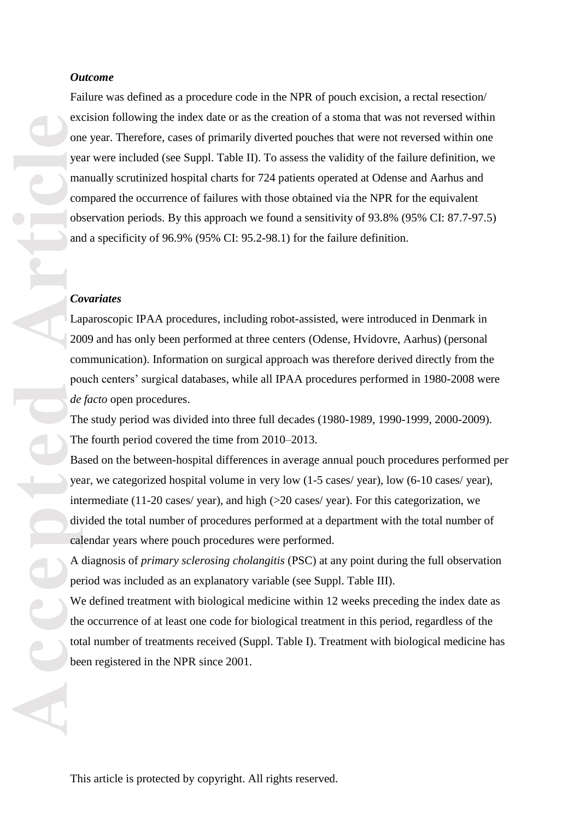#### *Outcome*

external<br>
on<br>
yeal<br>
on<br>
yeal<br>
on<br>
yeal<br>
on<br>
yeal<br>
on<br>
yeal<br>
on<br>
ob<br>
and<br>
ob<br>
and<br>  $C_0$ <br>
La<br>
20<br>
on<br>
yeal<br>
Th<br>
Ba<br>
yeal<br>
Th<br>
H Ba<br>
yeal<br>
in<br>
Th<br>
Ba<br>
yeal<br>  $\frac{de}{dt}$ <br>
Th<br>
Ba<br>
yeal<br>  $\frac{de}{dt}$ <br>
H Ba<br>
yeal<br>
Wh<br>
we<br>
we<br>
we<br>
we<br> Failure was defined as a procedure code in the NPR of pouch excision, a rectal resection/ excision following the index date or as the creation of a stoma that was not reversed within one year. Therefore, cases of primarily diverted pouches that were not reversed within one year were included (see Suppl. Table I I). To assess the validity of the failure definition, we manually scrutinized hospital charts for 724 patients operated at Odense and Aarhus and compared the occurrence of failures with those obtained via the NPR for the equivalent observation periods. By this approach we found a sensitivity of 93. 8% (95% CI: 87. 7 -97.5) and a specificity of 96. 9% (95% CI: 95.2 - 98.1) for the failure definition.

#### *Covariates*

Laparoscopic IPAA procedures, including robot -assisted , were introduced in Denmark in 2009 and has only been performed at three centers (Odense, Hvidovre, Aarhus) (personal communication). Information on surgical approach was therefore derived directly from the pouch centers' surgical databases, while all IPAA procedures performed in 1980 -200 8 were *de facto* open procedures .

The study period was divided into three full decades (1980-1989, 1990-1999, 2000-2009). The fourth period covered the time from 2010 –2013.

Based on the between -hospital differences in average annual pouch procedures performed per year, we categorized hospital volume in very low (1 - 5 cases/ year), low (6 -10 cases/ year), intermediate (11 -20 cases/ year), and high (>20 cases/ year). For this categorization, we divided the total number of procedures performed at a department with the total number of calendar years where pouch procedures were performed .

A diagnosis of *primary sclerosing cholangitis* (PSC) at any point during the full observation period was included as an explanatory variable (see Suppl. Table III).

We defined treatment with biological medicine within 12 weeks preceding the index date as the occurrence of at least one code for biological treatment in this period, regardless of the total number of treatments received (Suppl. Table I) . Treatment with biological medicine has been registered in the NPR since 2001.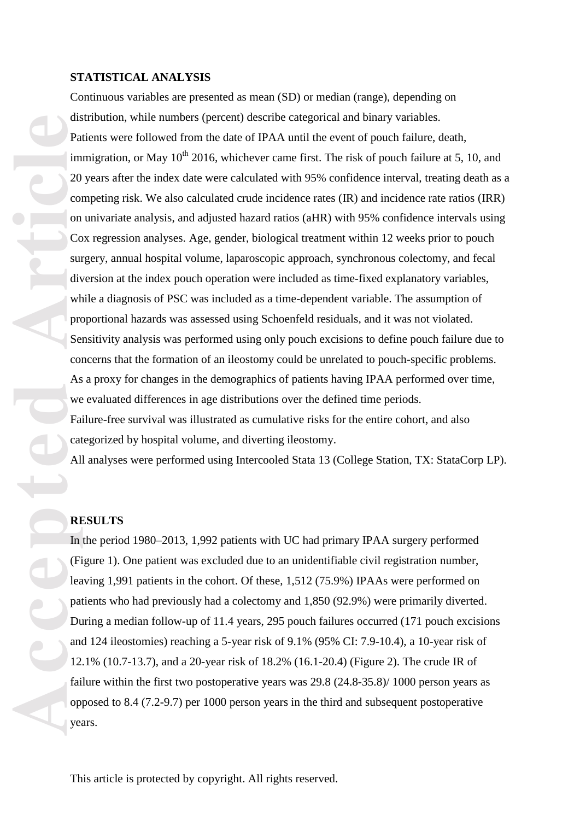#### **STATISTICAL ANALYSIS**

**Accepted Article** Continuous variables are presented as mean (SD) or median (range), depending on distribution, while numbers (percent) describe categorical and binary variables. Patients were followed from the date of IPAA until the event of pouch failure, death, immigration, or May  $10^{th}$  2016, whichever came first. The risk of pouch failure at 5, 10, and 20 years after the index date were calculated with 95% confidence interval, treating death as a competing risk. We also calculated crude incidence rates (IR) and incidence rate ratios (IRR) on univariate analysis , and adjusted hazard ratios (aHR) with 95% confidence intervals using Cox regression analyses. Age, gender, biological treatment within 12 weeks prior to pouch surgery, annual hospital volume, laparoscopic approach, synchronous colectomy, and fecal diversion at the index pouch operation were included as time -fixed explanatory variables, while a diagnosis of PSC was included as a time -dependent variable. The assumption of proportional hazards was assessed using Schoenfeld residuals, and it was not violated . Sensitivity analysis was performed using only pouch excisions to define pouch failure due to concerns that the formation of an ileostomy could be unrelated to pouch -specific problems. As a proxy for changes in the demographic s of patients having IPAA performed over time, we evaluated differences in age distributions over the defined time periods. Failure -free survival was illustrated as cumulative risks for the entire cohort, and also

categorized by hospital volume, and diverting ileostomy .

All analyses were performed using Intercooled Stata 13 (College Station, TX: StataCorp LP).

#### **RESULTS**

In the period 1980 –2013 , 1,992 patients with UC had primary IPAA surgery performed (Figure 1) . One patient was excluded due to an unidentifiable civil registration number, leaving 1,991 patients in the cohort. Of these, 1,512 (75.9%) IPAAs were performed on patients who had previously had a colectomy and 1,850 (92.9%) were primarily diverted . During a median follow -up of 11.4 years, 295 pouch failures occurred (171 pouch excisions and 124 ileostomies) reaching a 5 -year risk of 9.1% (95% CI: 7.9 -10. 4 ) , a 10 - year risk of 12. 1% (10. 7 -13.7 ), and a 20 -year risk of 18. 2% (16. 1 - 20. 4 ) (Figure 2). The crude IR of failure within the first two postoperative years was 29.8 (24.8-35.8)/ 1000 person years as opposed to 8.4 (7. 2 -9.7) per 1000 person years in the third and subsequent postoperative year s .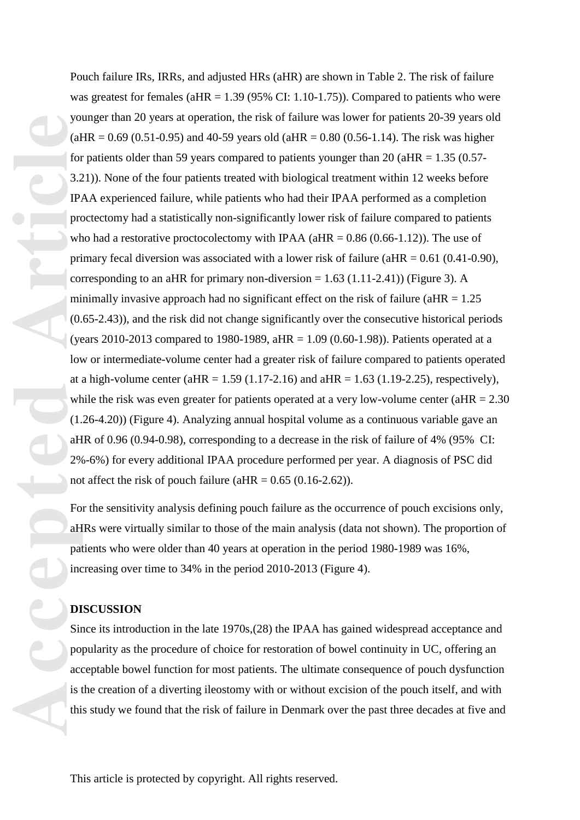**Properties of the Contract of the Contract of Contract of Article Contract of Article<br>
<b>Article** Contract of Article<br> **Article Contract of Article Contract of Article Contract of Article Contract of Article Contract of Ar** Pouch failure IRs, IRRs, and adjusted HRs (aHR) are shown in Table 2. The risk of failure was greatest for females ( $aHR = 1.39$  (95% CI: 1.10-1.75)). Compared to patients who were younger than 20 years at operation, the risk of failure was lower for patients 20 -39 years old  $(aHR = 0.69 (0.51-0.95)$  and 40-59 years old  $(aHR = 0.80 (0.56-1.14)$ . The risk was higher for patients older than 59 years compared to patients younger than 20 (aHR =  $1.35$  (0.57-3.2 1)). None of the four patients treated with biological treatment within 12 weeks before IPAA experienced failure, while patients who had their IPAA performed as a completion proctectomy had a statistically non -significantly lower risk of failure compared to patients who had a restorative proctocolectomy with IPAA ( $aHR = 0.86$  (0.66-1.12)). The use of primary fecal diversion was associated with a lower risk of failure ( $aHR = 0.61$  (0.41-0.90), corresponding to an aHR for primary non-diversion  $= 1.63$  (1.11-2.41)) (Figure 3). A minimally invasive approach had no significant effect on the risk of failure ( $aHR = 1.25$ ) (0.6 5 -2. 4 3)), and the risk did not change significantly over the consecutive historical periods (years 2010-2013 compared to 1980-1989, aHR = 1.09 (0.60-1.98)). Patients operated at a low or intermediate -volume center had a greater risk of failure compared to patients operated at a high-volume center (aHR =  $1.59$  (1.17-2.16) and aHR =  $1.63$  (1.19-2.25), respectively), while the risk was even greater for patients operated at a very low-volume center ( $aHR = 2.30$ (1. 2 6 -4.20)) (Figure 4 ). Analyzing annual hospital volume as a continuous variable gave a n aHR of 0.96 (0.94 -0.98), corresponding to a decrease in the risk of failure of 4% (95% CI: 2% -6%) for every additional IPAA procedure performed per year. A diagnosis of PSC did not affect the risk of pouch failure ( $aHR = 0.65$  ( $0.16-2.62$ )).

For the sensitivity analysis defining pouch failure as the occurrence of pouch excisions only, aHRs were virtually similar to those of the main analysis (data not shown). The proportion of patients who were older than 40 years at operation in the period 1980-1989 was 16%, increasing over time to 34% in the period 2010-2013 (Figure 4).

### **DISCUSSION**

Since its introduction in the late 1970s, (28) the IPAA has gained widespread acceptance and popularity as the procedure of choice for restoration of bowel continuity in UC, offering an acceptable bowel function for most patients . The ultimate consequence of pouch dysfunction is the creation of a diverting ileostomy with or without excision of the pouch itself, and with this study we found that the risk of failure in Denmark over the past three decades at five and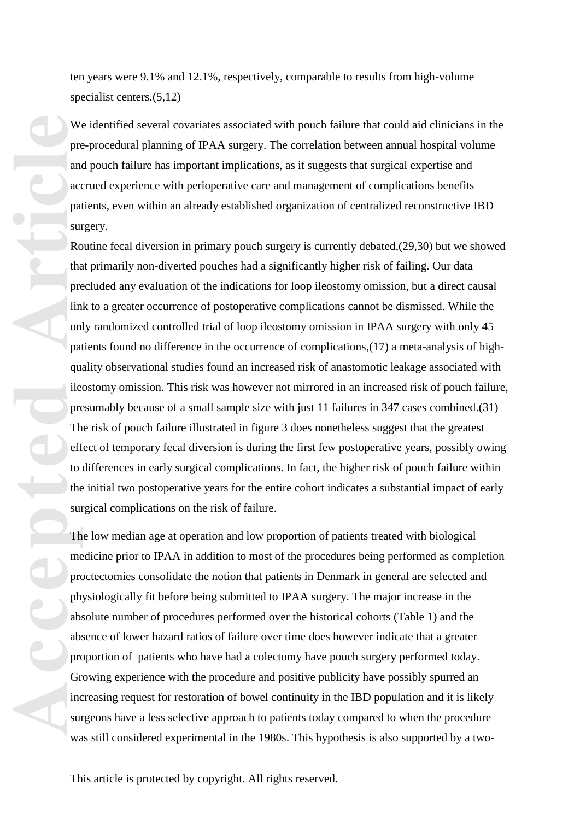ten years were 9. 1% and 12. 1%, respectively, comparable to results from high -volume specialist centers .(5,12)

We identified several covariates associated with pouch failure that could aid clinicians in the pre -procedural planning of IPAA surgery. The correlation between annual hospital volume and pouch failure has important implications, as it suggests that surgical expertise and accrued experience with perioperative care and management of complications benefits patients, even within an already established organization of centralized reconstructive IBD surgery.

We precedent and acceptance precedent and acceptance precedent of the sum The off to the sum The precedent of the sum The precedent of the sum The precedent of the sum Sum absorbed absorbed absorbed absorbed absorbed absor Routine fecal diversion in primary pouch surgery is currently debated, (29,30) but we showed that primarily non -diverted pouches had a significantly higher risk of failing. Our data precluded any evaluation of the indications for loop ileostomy omission, but a direct causal link to a greater occurrence of postoperative complications cannot be dismissed. While the only randomized controlled trial of loop ileostomy omission in IPAA surgery with only 45 patients found no difference in the occurrence of complications, (17) a meta-analysis of highquality observational studies found an increased risk of anastomotic leakage associated with ileostomy omission. This risk was however not mirrored in an increased risk of pouch failure, presumably because of a small sample size with just 11 failures in 347 cases combined .(31) The risk of pouch failure illustrated in figure 3 does nonetheless suggest that the greatest effect of temporary fecal diversion is during the first few postoperative years, possibly owing to differences in early surgical complications. In fact, the higher risk of pouch failure within the initial two postoperative years for the entire cohort indicates a substantial impact of early surgical complications on the risk of failure.<br>The low median age at operation and low proportion of patients treated with biological

medicine prior to IPAA in addition to most of the procedures being performed as completion proctectomies consolidate the notion that patients in Denmark in general are selected and physiologically fit before being submitted to IPAA surgery. The major increase in the absolute number of procedures performed over the historical cohorts (Table 1) and the absence of lower hazard ratios of failure over time does however indicate that a greater proportion of patients who have had a colectomy have pouch surgery performed today . Growing experience with the procedure and positive publicity have possibly spurred an increasing request for restoration of bowel continuity in the IBD population and it is likely surgeons have a less selective approach to patients today compared to when the procedure was still considered experimental in the 1980s. This hypothesis is also supported by a two -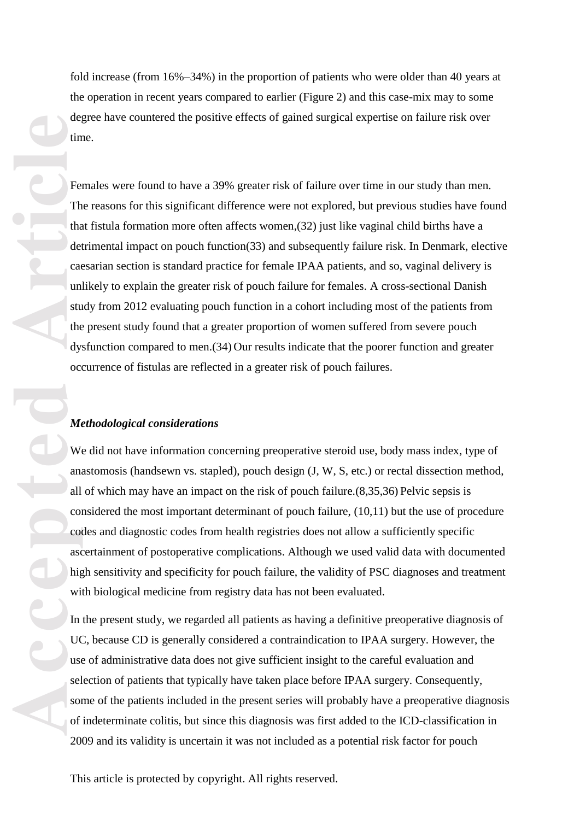fold increase (from 16%-34%) in the proportion of patients who were older than 40 years at the operation in recent years compared to earlier (Figure 2) and this case -mix may to some degree have countered the positive effects of gained surgical expertise on failure risk over time.

Females were found to have a 39% greater risk of failure over time in our study than men. The reasons for this significant difference were not explored, but previous studies have found that fistula formation more often affects women ,(32) just like vaginal child births have a detrimental impact on pouch function(33) and subsequently failure risk. In Denmark, elective caesarian section is standard practice for female IPAA patients, and so, vaginal delivery is unlikely to explain the greater risk of pouch failure for females. A cross -sectional Danish study from 2012 evaluating pouch function in a cohort including most of the patients from the present study found that a greater proportion of women suffered from severe pouch dysfunction compared to men .(34) Our results indicate that th e poorer function and greater occurrence of fistulas are reflected in a greater risk of pouch failures.

#### *Methodological considerations*

We did not have information concerning preoperative steroid use, body mass index, type of anastomosis (handsewn vs. stapled), pouch design (J, W, S, etc.) or rectal dissection method, all of which may have an impact on the risk of pouch failure .(8,35,36) Pelvic sepsis is considered the most important determinant of pouch failure, (10,11) but the use of procedure codes and diagnostic codes from health registries does not allow a sufficiently specific ascertainment of postoperative complications. Although we used valid data with documented high sensitivity and specificity for pouch failure, the validity of PSC diagnoses and treatment with biological medicine from registry data has not been evaluated.

In the present study, we regarded all patients as having a definitive preoperative diagnosis of UC, because CD is generally considered a contraindication to IPAA surgery. However, the use of administrative data does not give sufficient insight to the careful evaluation and selection of patients that typically have taken place before IPAA surgery. Consequently, some of the patients included in the present series will probably have a preoperative diagnosis of indeterminate colitis, but since this diagnosis was first added to the ICD -classification in 2009 and its validity is uncertain it was not included as a potential risk factor for pouch

de<sub>d</sub><br>
tim<br>
The Lead<br>
tim<br>
ded cad<br>
cad<br>
uni stu<br>
ded cad<br>
uni stu<br>
ded cad<br>
uni stu<br>
ded vice<br>
oc<br>
Move Cad<br>
mail<br>
Move Cad<br>
an<br>
Move Cad<br>
in<br>
Move Cad<br>
in<br>
Move Article<br>
in<br>
Distribution<br>
Stu<br>
in<br>
Move Article<br>
Stu<br>
in<br> This article is protected by copyright. All rights reserved.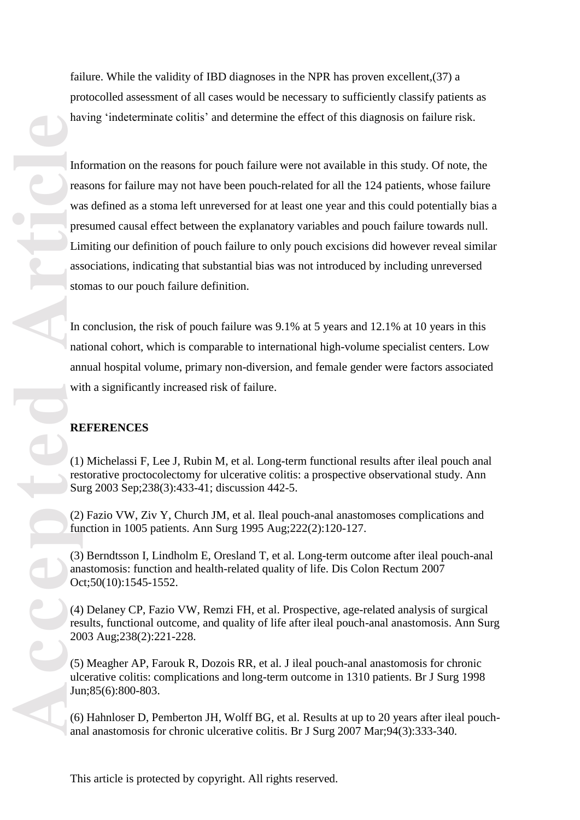failure. While the validity of IBD diagnoses in the NPR has proven excellent ,(37) a protocolled assessment of all cases would be necessary to sufficiently classify patients as having 'indeterminate colitis' and determine the effect of this diagnosis on failure risk .

Information on the reasons for pouch failure were not available in this study. Of note, the reasons for failure may not have been pouch -related for all the 124 patients, whose failure was defined as a stoma left unreversed for at least one year and this could potentially bias a presumed causal effect between the explanatory variables and pouch failure towards null. Limiting our definition of pouch failure to only pouch excisions did however reveal similar associations, indicating that substantial bias was not introduced by including unreversed stomas to our pouch failure definition.

In conclusion, the risk of pouch failure was 9.1% at 5 years and 12.1% at 10 years in this national cohort, which is comparable to international high -volume specialist center s. Low annual hospital volume, primary non -diversion, and female gender were factors associated with a significantly increased risk of failure.

## **REFERENCES**

(1) Michelassi F, Lee J, Rubin M, et al. Long -term functional results after ileal pouch anal restorative proctocolectomy for ulcerative colitis: a prospective observational study. Ann Surg 2003 Sep;238(3):433 -41; discussion 442 -5.

(2) Fazio VW, Ziv Y, Church JM, et al. Ileal pouch -anal anastomoses complications and function in 1005 patients. Ann Surg 1995 Aug;222(2):120 -127.

(3) Berndtsson I, Lindholm E, Oresland T, et al. Long -term outcome after ileal pouch -anal anastomosis: function and health -related quality of life. Dis Colon Rectum 2007 Oct;50(10):1545 -1552.

(4) Delaney CP, Fazio VW, Remzi FH, et al. Prospective, age -related analysis of surgical results, functional outcome, and quality of life after ileal pouch -anal anastomosis. Ann Surg 2003 Aug;238(2):221 -228.

(5) Meagher AP, Farouk R, Dozois RR, et al. J ileal pouch -anal anastomosis for chronic ulcerative colitis: complications and long -term outcome in 1310 patients. Br J Surg 1998 Jun;85(6):800 -803.

(6) Hahnloser D, Pemberton JH, Wolff BG, et al. Results at up to 20 years after ileal pouch anal anastomosis for chronic ulcerative colitis. Br J Surg 2007 Mar;94(3):333 -340.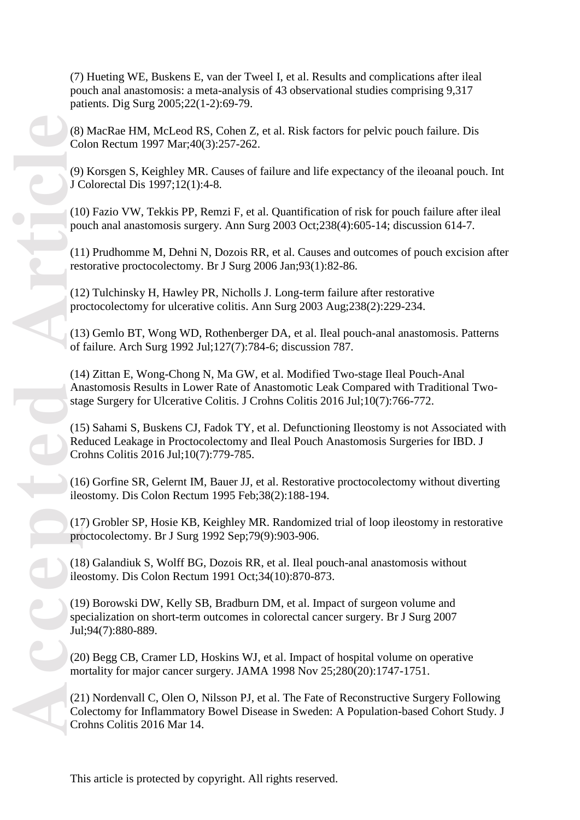(7) Hueting WE, Buskens E, van der Tweel I, et al. Results and complications after ileal pouch anal anastomosis: a meta -analysis of 43 observational studies comprising 9,317 patients. Dig Surg 2005;22(1 -2):69 -79.

(8) MacRae HM, McLeod RS, Cohen Z, et al. Risk factors for pelvic pouch failure. Dis Colon Rectum 1997 Mar;40(3):257 -262.

(9) Korsgen S, Keighley MR. Causes of failure and life expectancy of the ileoanal pouch. Int J Colorectal Dis 1997;12(1):4 -8.

(10) Fazio VW, Tekkis PP, Remzi F, et al. Quantification of risk for pouch failure after ileal pouch anal anastomosis surgery. Ann Surg 2003 Oct;238(4):605-14; discussion 614-7.

(11) Prudhomme M, Dehni N, Dozois RR, et al. Causes and outcomes of pouch excision after restorative proctocolectomy. Br J Surg 2006 Jan;93(1):82 -86.

(12) Tulchinsky H, Hawley PR, Nicholls J. Long -term failure after restorative proctocolectomy for ulcerative colitis. Ann Surg 2003 Aug;238(2):229 -234.

(13) Gemlo BT, Wong WD, Rothenberger DA, et al. Ileal pouch -anal anastomosis. Patterns of failure. Arch Surg 1992 Jul;127(7):784 -6; discussion 787.

(14) Zittan E, Wong -Chong N, Ma GW, et al. Modified Two -stage Ileal Pouch -Anal Anastomosis Results in Lower Rate of Anastomotic Leak Compared with Traditional Two stage Surgery for Ulcerative Colitis. J Crohns Colitis 2016 Jul;10(7):766-772.

(15) Sahami S, Buskens CJ, Fadok TY, et al. Defunctioning Ileostomy is not Associated with Reduced Leakage in Proctocolectomy and Ileal Pouch Anastomosis Surgeries for IBD. J Crohns Colitis 2016 Jul;10(7):779 -785.

(16) Gorfine SR, Gelernt IM, Bauer JJ, et al. Restorative proctocolectomy without diverting ileostomy. Dis Colon Rectum 1995 Feb;38(2):188 -194.

(17) Grobler SP, Hosie KB, Keighley MR. Randomized trial of loop ileostomy in restorative proctocolectomy. Br J Surg 1992 Sep;79(9):903 -906.

(18) Galandiuk S, Wolff BG, Dozois RR, et al. Ileal pouch -anal anastomosis without ileostomy. Dis Colon Rectum 1991 Oct;34(10):870 -873.

(19) Borowski DW, Kelly SB, Bradburn DM, et al. Impact of surgeon volume and specialization on short -term outcomes in colorectal cancer surgery. Br J Surg 2007 Jul;94(7):880 -889.

(20) Begg CB, Cramer LD, Hoskins WJ, et al. Impact of hospital volume on operative mortality for major cancer surgery. JAMA 1998 Nov 25;280(20):1747 -1751.

(21) Nordenvall C, Olen O, Nilsson PJ, et al. The Fate of Reconstructive Surgery Following Colectomy for Inflammatory Bowel Disease in Sweden: A Population -based Cohort Study. J Crohns Colitis 2016 Mar 14.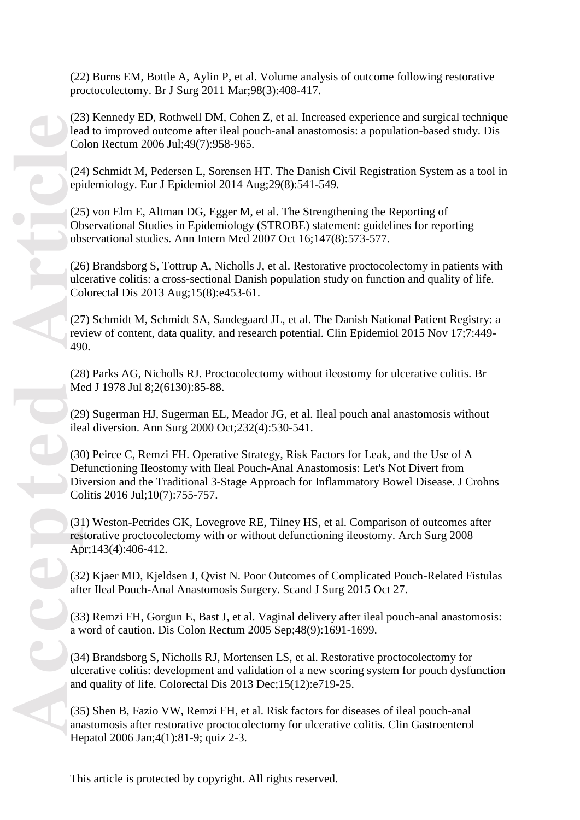(22) Burns EM, Bottle A, Aylin P, et al. Volume analysis of outcome following restorative proctocolectomy. Br J Surg 2011 Mar;98(3):408 -417.

(23) Kennedy ED, Rothwell DM, Cohen Z, et al. Increased experience and surgical technique lead to improved outcome after ileal pouch-anal anastomosis: a population-based study. Dis Colon Rectum 2006 Jul;49(7):958 -965.

(24) Schmidt M, Pedersen L, Sorensen HT. The Danish Civil Registration System as a tool in epidemiology. Eur J Epidemiol 2014 Aug;29(8):541 -549.

(25) von Elm E, Altman DG, Egger M, et al. The Strengthening the Reporting of Observational Studies in Epidemiology (STROBE) statement: guidelines for reporting observational studies. Ann Intern Med 2007 Oct 16;147(8):573 -577.

(26) Brandsborg S, Tottrup A, Nicholls J, et al. Restorative proctocolectomy in patients with ulcerative colitis: a cross -sectional Danish population study on function and quality of life. Colorectal Dis 2013 Aug;15(8):e453 -61.

(27) Schmidt M, Schmidt SA, Sandegaard JL, et al. The Danish National Patient Registry: a review of content, data quality, and research potential. Clin Epidemiol 2015 Nov 17;7:449 - 490.

(28) Parks AG, Nicholls RJ. Proctocolectomy without ileostomy for ulcerative colitis. Br Med J 1978 Jul 8;2(6130):85 -88.

(29) Sugerman HJ, Sugerman EL, Meador JG, et al. Ileal pouch anal anastomosis without ileal diversion. Ann Surg 2000 Oct;232(4):530 -541.

(30) Peirce C, Remzi FH. Operative Strategy, Risk Factors for Leak, and the Use of A Defunctioning Ileostomy with Ileal Pouch -Anal Anastomosis: Let's Not Divert from Diversion and the Traditional 3 -Stage Approach for Inflammatory Bowel Disease. J Crohns Colitis 2016 Jul;10(7):755 -757.

(31) Weston -Petrides GK, Lovegrove RE, Tilney HS, et al. Comparison of outcomes after restorative proctocolectomy with or without defunctioning ileostomy. Arch Surg 2008 Apr;143(4):406-412.

(32) Kjaer MD, Kjeldsen J, Qvist N. Poor Outcomes of Complicated Pouch -Related Fistulas after Ileal Pouch -Anal Anastomosis Surgery. Scand J Surg 2015 Oct 27.

(33) Remzi FH, Gorgun E, Bast J, et al. Vaginal delivery after ileal pouch -anal anastomosis: a word of caution. Dis Colon Rectum 2005 Sep;48(9):1691 -1699.

(34) Brandsborg S, Nicholls RJ, Mortensen LS, et al. Restorative proctocolectomy for ulcerative colitis: development and validation of a new scoring system for pouch dysfunction and quality of life. Colorectal Dis 2013 Dec;15(12):e719 -25.

(35) Shen B, Fazio VW, Remzi FH, et al. Risk factors for diseases of ileal pouch -anal anastomosis after restorative proctocolectomy for ulcerative colitis. Clin Gastroenterol Hepatol 2006 Jan; 4(1): 81-9; quiz 2-3.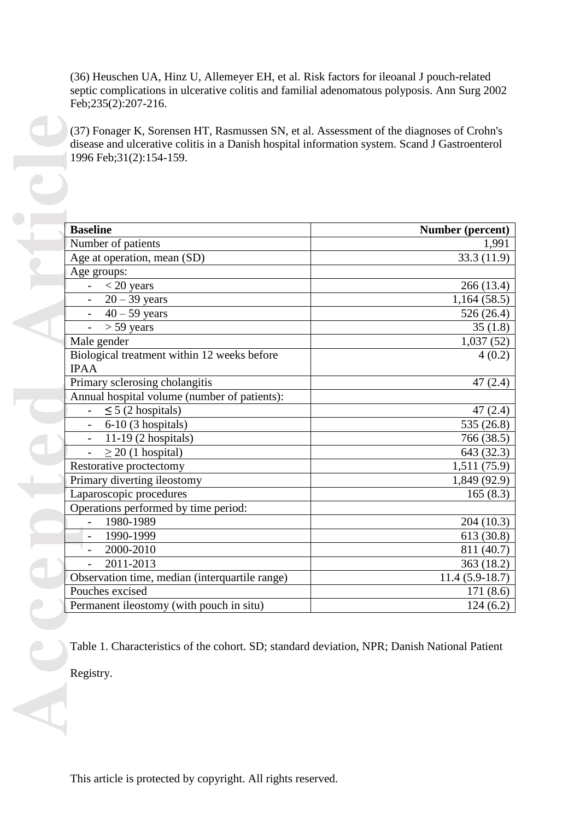(36) Heuschen UA, Hinz U, Allemeyer EH, et al. Risk factors for ileoanal J pouch -related septic complications in ulcerative colitis and familial adenomatous polyposis. Ann Surg 2002 Feb; 235(2): 207-216.

| <b>Baseline</b>                                | Number (percent) |
|------------------------------------------------|------------------|
| Number of patients                             | 1,991            |
| Age at operation, mean (SD)                    | 33.3 (11.9)      |
| Age groups:                                    |                  |
| $<$ 20 years                                   | 266 (13.4)       |
| $20 - 39$ years                                | 1,164(58.5)      |
| $40 - 59$ years                                | 526(26.4)        |
| $> 59$ years                                   | 35(1.8)          |
| Male gender                                    | 1,037(52)        |
| Biological treatment within 12 weeks before    | 4(0.2)           |
| <b>IPAA</b>                                    |                  |
| Primary sclerosing cholangitis                 | 47(2.4)          |
| Annual hospital volume (number of patients):   |                  |
| $\leq$ 5 (2 hospitals)                         | 47(2.4)          |
| 6-10 (3 hospitals)                             | 535 (26.8)       |
| 11-19 (2 hospitals)                            | 766 (38.5)       |
| $\geq$ 20 (1 hospital)                         | 643 (32.3)       |
| Restorative proctectomy                        | 1,511 (75.9)     |
| Primary diverting ileostomy                    | 1,849 (92.9)     |
| Laparoscopic procedures                        | 165(8.3)         |
| Operations performed by time period:           |                  |
| 1980-1989                                      | 204(10.3)        |
| 1990-1999                                      | 613 (30.8)       |
| 2000-2010                                      | 811 (40.7)       |
| 2011-2013                                      | 363(18.2)        |
| Observation time, median (interquartile range) | $11.4(5.9-18.7)$ |
| Pouches excised                                | 171 (8.6)        |
| Permanent ileostomy (with pouch in situ)       | 124(6.2)         |

This article is protected by copyright. All rights reserved.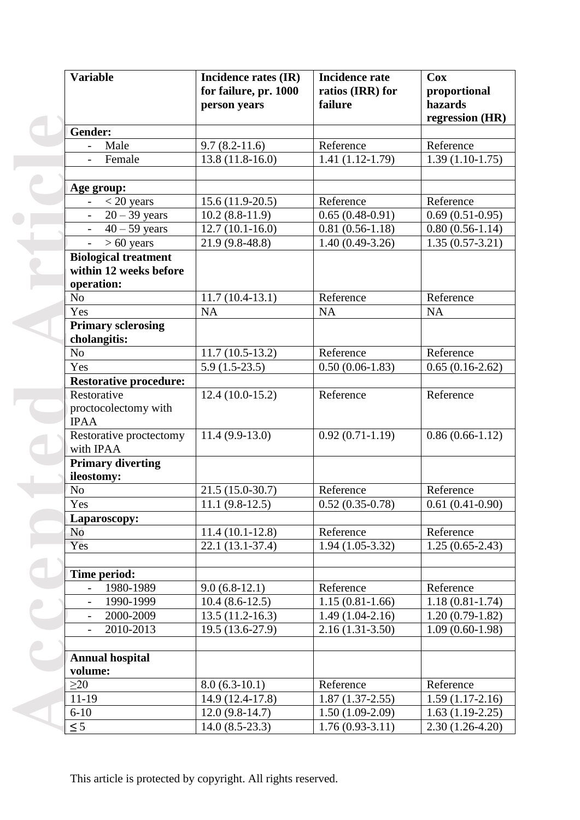| <b>Variable</b>                       | Incidence rates (IR)         | <b>Incidence rate</b> | <b>Cox</b>        |
|---------------------------------------|------------------------------|-----------------------|-------------------|
|                                       | for failure, pr. 1000        | ratios (IRR) for      | proportional      |
|                                       | person years                 | failure               | hazards           |
|                                       |                              |                       | regression (HR)   |
| Gender:                               |                              |                       |                   |
| Male<br>$\overline{\phantom{0}}$      | $9.7(8.2 - 11.6)$            | Reference             | Reference         |
| Female                                | $13.8(11.8-16.0)$            | $1.41(1.12-1.79)$     | $1.39(1.10-1.75)$ |
|                                       |                              |                       |                   |
| Age group:                            |                              |                       |                   |
| $\leq$ 20 years                       | $15.6(11.9-20.5)$            | Reference             | Reference         |
| $20 - 39$ years                       | $10.2(8.8-11.9)$             | $0.65(0.48-0.91)$     | $0.69(0.51-0.95)$ |
| $40 - 59$ years                       | $12.7(10.1 - 16.0)$          | $0.81(0.56-1.18)$     | $0.80(0.56-1.14)$ |
| $> 60$ years<br>$\overline{a}$        | 21.9 (9.8-48.8)              | $1.40(0.49-3.26)$     | $1.35(0.57-3.21)$ |
| <b>Biological treatment</b>           |                              |                       |                   |
| within 12 weeks before                |                              |                       |                   |
| operation:                            |                              |                       |                   |
| N <sub>o</sub>                        | $11.7(10.4-13.1)$            | Reference             | Reference         |
| Yes                                   | NA                           | <b>NA</b>             | <b>NA</b>         |
| <b>Primary sclerosing</b>             |                              |                       |                   |
| cholangitis:                          |                              |                       |                   |
| N <sub>o</sub>                        | $11.7(10.5-13.2)$            | Reference             | Reference         |
| Yes                                   | $5.9(1.5-23.5)$              | $0.50(0.06-1.83)$     | $0.65(0.16-2.62)$ |
| <b>Restorative procedure:</b>         |                              |                       |                   |
| Restorative                           | $12.4(10.0-15.2)$            | Reference             | Reference         |
| proctocolectomy with                  |                              |                       |                   |
| <b>IPAA</b>                           |                              |                       |                   |
| Restorative proctectomy               | $11.4(9.9-13.0)$             | $0.92(0.71-1.19)$     | $0.86(0.66-1.12)$ |
| with IPAA                             |                              |                       |                   |
| <b>Primary diverting</b>              |                              |                       |                   |
| ileostomy:                            |                              |                       |                   |
| N <sub>o</sub>                        | $21.5(15.0-30.7)$            | Reference             | Reference         |
| Yes                                   | $\overline{11.1}$ (9.8-12.5) | $0.52(0.35-0.78)$     | $0.61(0.41-0.90)$ |
| Laparoscopy:                          |                              |                       |                   |
| No                                    | $11.4(10.1-12.8)$            | Reference             | Reference         |
| Yes                                   | $22.1(13.1-37.4)$            | $1.94(1.05-3.32)$     | $1.25(0.65-2.43)$ |
|                                       |                              |                       |                   |
| Time period:                          |                              |                       |                   |
| 1980-1989<br>$\overline{a}$           | $9.0(6.8-12.1)$              | Reference             | Reference         |
| 1990-1999<br>$\overline{\phantom{0}}$ | $10.4(8.6-12.5)$             | $1.15(0.81-1.66)$     | $1.18(0.81-1.74)$ |
| 2000-2009                             | $13.5(11.2-16.3)$            | $1.49(1.04-2.16)$     | $1.20(0.79-1.82)$ |
| 2010-2013<br>$\overline{\phantom{0}}$ | 19.5 (13.6-27.9)             | $2.16(1.31-3.50)$     | $1.09(0.60-1.98)$ |
|                                       |                              |                       |                   |
| <b>Annual hospital</b>                |                              |                       |                   |
| volume:                               |                              |                       |                   |
| $\geq$ 20                             | $8.0(6.3-10.1)$              | Reference             | Reference         |
| $11-19$                               | 14.9 (12.4-17.8)             | $1.87(1.37-2.55)$     | $1.59(1.17-2.16)$ |
| $6 - 10$                              | $12.0(9.8-14.7)$             | $1.50(1.09-2.09)$     | $1.63(1.19-2.25)$ |
| $\leq$ 5                              | $14.0(8.5-23.3)$             | $1.76(0.93-3.11)$     | $2.30(1.26-4.20)$ |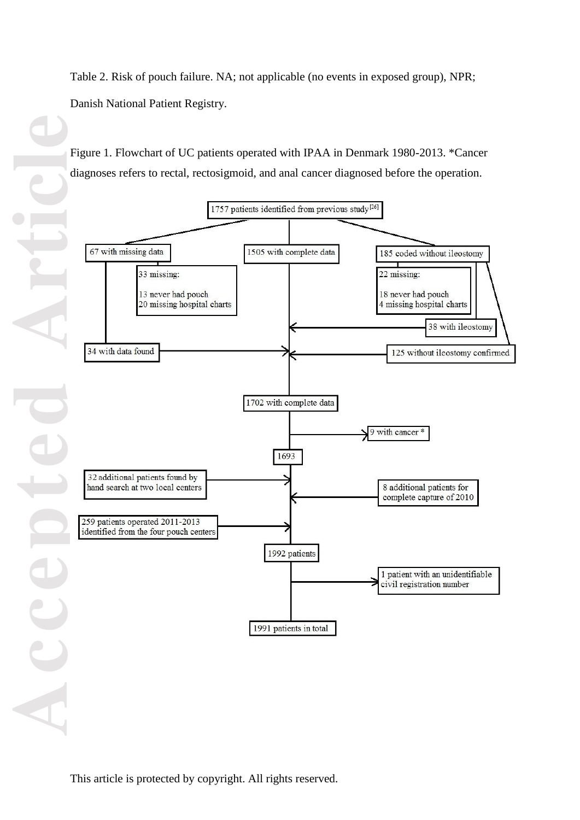Table 2. Risk of pouch failure. NA; not applicable (no events in exposed group), NPR; Danish National Patient Registry.

Figure 1. Flowchart of UC patients operated with IPAA in Denmark 1980-2013. \*Cancer diagnoses refers to rectal, rectosigmoid, and anal cancer diagnosed before the operation.

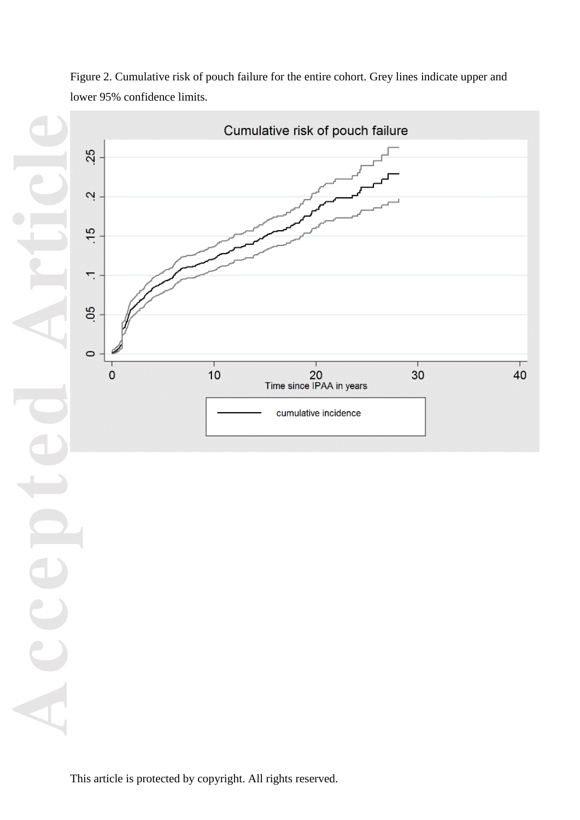

Figure 2. Cumulative risk of pouch failure for the entire cohort. Grey lines indicate upper and lower 95% confidence limits.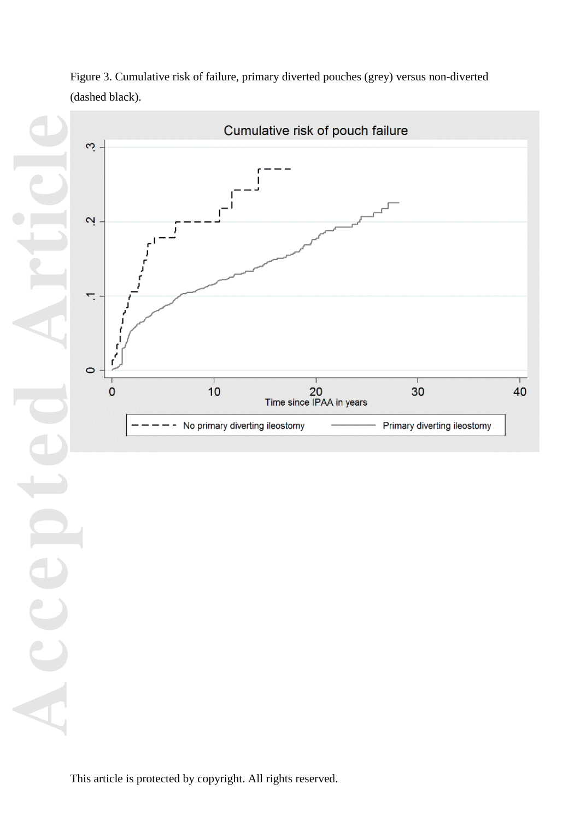

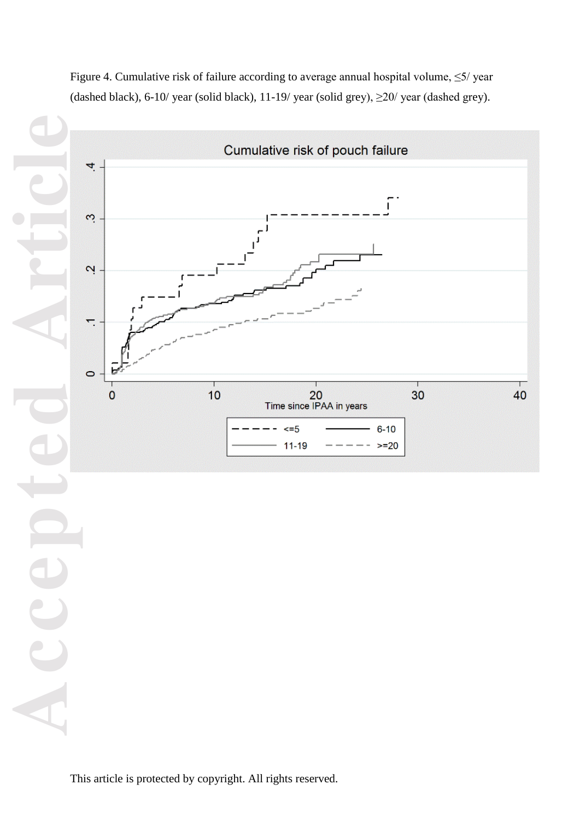

Figure 4. Cumulative risk of failure according to average annual hospital volume, ≤5/ year (dashed black), 6-10/ year (solid black), 11-19/ year (solid grey),  $\geq$ 20/ year (dashed grey).